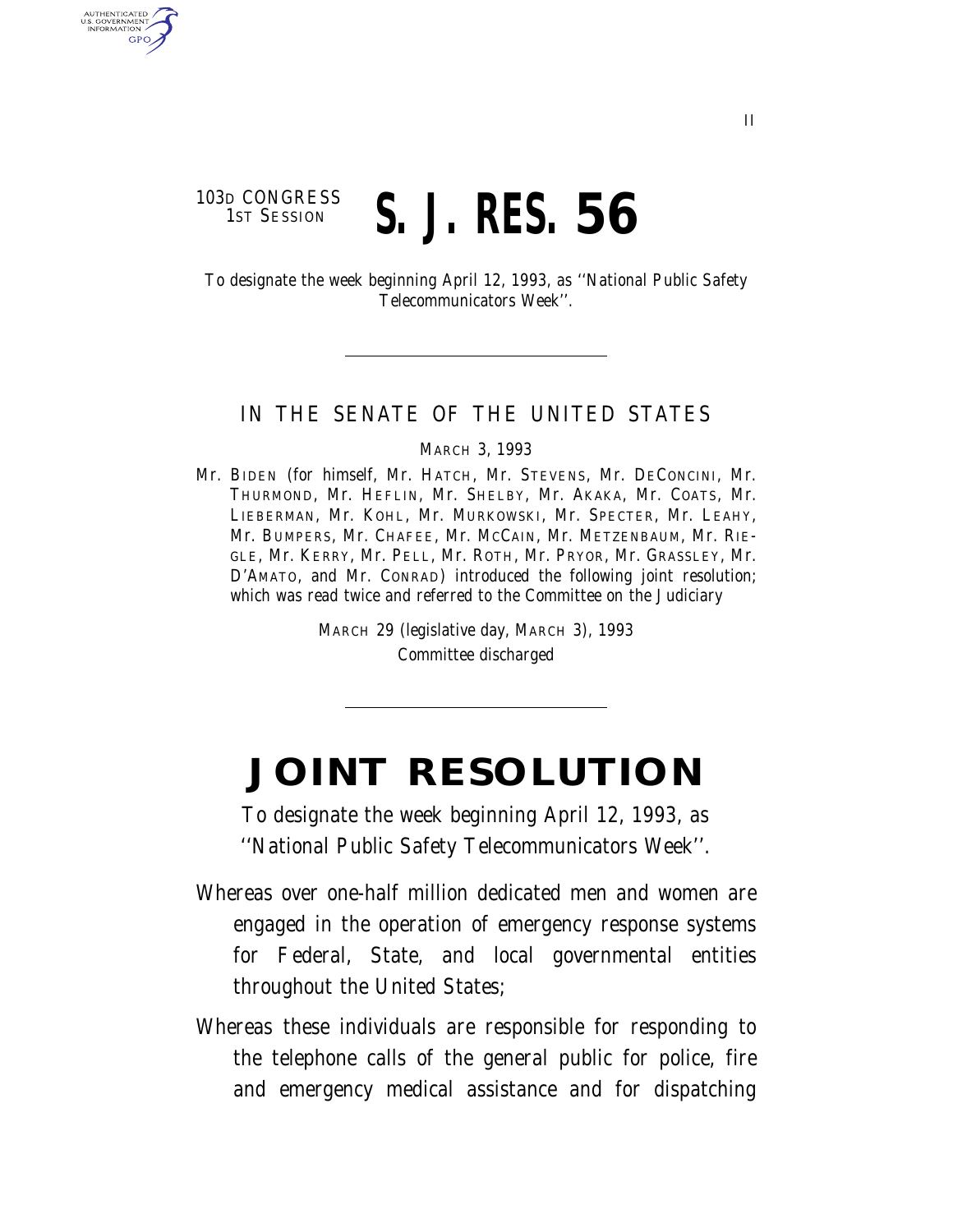## 103D CONGRESS<br>1st Session 1ST SESSION **S. J. RES. 56**

U.S. GOVERNMENT **GPO** 

> To designate the week beginning April 12, 1993, as ''National Public Safety Telecommunicators Week''.

## IN THE SENATE OF THE UNITED STATES

MARCH 3, 1993

Mr. BIDEN (for himself, Mr. HATCH, Mr. STEVENS, Mr. DECONCINI, Mr. THURMOND, Mr. HEFLIN, Mr. SHELBY, Mr. AKAKA, Mr. COATS, Mr. LIEBERMAN, Mr. KOHL, Mr. MURKOWSKI, Mr. SPECTER, Mr. LEAHY, Mr. BUMPERS, Mr. CHAFEE, Mr. MCCAIN, Mr. METZENBAUM, Mr. RIE-GLE, Mr. KERRY, Mr. PELL, Mr. ROTH, Mr. PRYOR, Mr. GRASSLEY, Mr. D'AMATO, and Mr. CONRAD) introduced the following joint resolution; which was read twice and referred to the Committee on the Judiciary

> MARCH 29 (legislative day, MARCH 3), 1993 Committee discharged

## **JOINT RESOLUTION**

To designate the week beginning April 12, 1993, as ''National Public Safety Telecommunicators Week''.

- Whereas over one-half million dedicated men and women are engaged in the operation of emergency response systems for Federal, State, and local governmental entities throughout the United States;
- Whereas these individuals are responsible for responding to the telephone calls of the general public for police, fire and emergency medical assistance and for dispatching